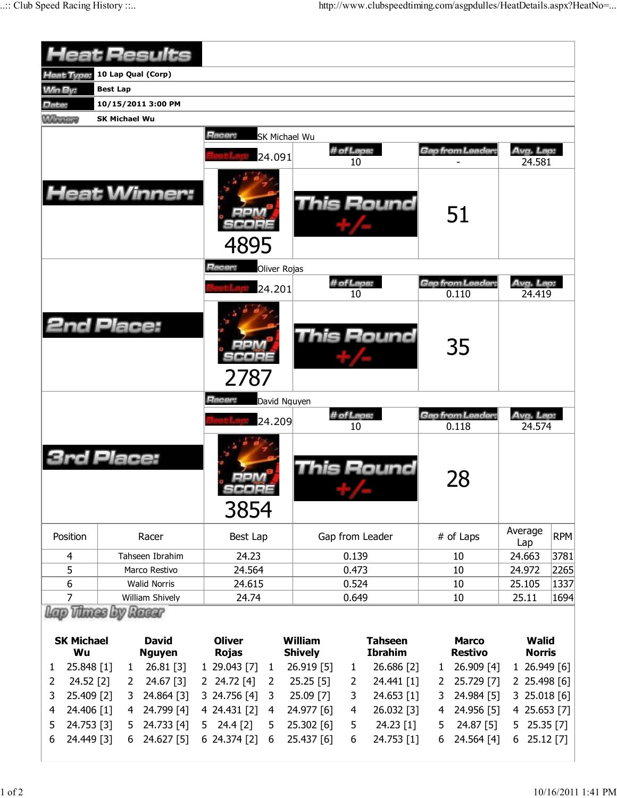|                             |                      | <b>Heat Results</b>           |                               |                      |                                  |                |                                  |              |                                |                               |              |
|-----------------------------|----------------------|-------------------------------|-------------------------------|----------------------|----------------------------------|----------------|----------------------------------|--------------|--------------------------------|-------------------------------|--------------|
| Heat Type:                  |                      | 10 Lap Qual (Corp)            |                               |                      |                                  |                |                                  |              |                                |                               |              |
| <b>Win By:</b>              | <b>Best Lap</b>      |                               |                               |                      |                                  |                |                                  |              |                                |                               |              |
| Date:                       | 10/15/2011 3:00 PM   |                               |                               |                      |                                  |                |                                  |              |                                |                               |              |
| <b>MARKETS</b>              | <b>SK Michael Wu</b> |                               |                               |                      |                                  |                |                                  |              |                                |                               |              |
|                             |                      |                               | Racer:                        | <b>SK Michael Wu</b> |                                  |                |                                  |              |                                |                               |              |
|                             |                      |                               |                               | 24.091               |                                  | # of Laps:     |                                  |              | <b>Gap from Leader:</b>        | Avg. Lap:                     |              |
|                             |                      | <b>Heat Winner:</b>           | 4895                          |                      |                                  | 10             | This Round                       |              | 51                             | 24.581                        |              |
|                             |                      |                               | Racer:                        | <b>Oliver Rojas</b>  |                                  |                |                                  |              |                                |                               |              |
|                             |                      |                               |                               | 24.201               |                                  | # of Laps:     |                                  |              | <b>Gap from Leader:</b>        | Avg. Lap:                     |              |
|                             |                      |                               |                               |                      |                                  | 10             |                                  |              | 0.110                          | 24.419                        |              |
| <b>2nd Place:</b>           |                      |                               | 2787                          |                      |                                  |                | This Round                       |              | 35                             |                               |              |
|                             |                      |                               | Hacer:                        |                      |                                  |                |                                  |              |                                |                               |              |
|                             |                      |                               |                               | David Nguyen         |                                  |                |                                  |              |                                |                               |              |
|                             |                      |                               |                               | 24.209               |                                  | # of Laps:     |                                  |              | Gap from Leader:               | Avg. Lap:                     |              |
|                             | rd Place:            |                               | 3854                          |                      |                                  | 10             | This Round                       |              | 0.118<br>28                    | 24.574                        |              |
| Position                    |                      | Racer                         | Best Lap                      |                      | Gap from Leader                  |                |                                  |              | # of Laps                      | Average                       | <b>RPM</b>   |
| 4                           |                      | Tahseen Ibrahim               | 24.23                         |                      |                                  | 0.139          |                                  |              | 10                             | Lap<br>24.663                 | 3781         |
| 5                           |                      | Marco Restivo                 | 24.564                        |                      |                                  | 0.473          |                                  |              | 10                             | 24.972                        | 2265         |
| 6                           |                      | <b>Walid Norris</b>           | 24.615                        |                      |                                  | 0.524          |                                  |              | 10                             | 25.105                        | 1337         |
| 7                           |                      | William Shively               | 24.74                         |                      |                                  | 0.649          |                                  |              | 10                             | 25.11                         | 1694         |
| Lap Thues by Russ           |                      |                               |                               |                      |                                  |                |                                  |              |                                |                               |              |
|                             |                      |                               |                               |                      |                                  |                |                                  |              |                                |                               |              |
| <b>SK Michael</b><br>Wu     |                      | <b>David</b><br><b>Nguyen</b> | <b>Oliver</b><br><b>Rojas</b> |                      | <b>William</b><br><b>Shively</b> |                | <b>Tahseen</b><br><b>Ibrahim</b> |              | <b>Marco</b><br><b>Restivo</b> | <b>Walid</b><br><b>Norris</b> |              |
| 25.848 [1]<br>1             | $\mathbf{1}$         | 26.81 [3]                     | 1 29.043 [7]                  | 1                    | 26.919 [5]                       | $\mathbf{1}$   | 26.686 [2]                       | $\mathbf{1}$ | 26.909 [4]                     |                               | 1 26.949 [6] |
| 24.52 [2]<br>$\overline{2}$ | 2                    | 24.67 [3]                     | 2 24.72 [4]                   | 2                    | 25.25[5]                         | 2              | 24.441 [1]                       | 2            | 25.729 [7]                     |                               | 2 25.498 [6] |
| 3<br>25.409 [2]             | 3                    | 24.864 [3]                    | 3 24.756 [4]                  | 3                    | 25.09 [7]                        | 3              | 24.653 [1]                       | 3            | 24.984 [5]                     |                               | 3 25.018 [6] |
| 24.406 [1]<br>4             | 4                    | 24.799 [4]                    | 4 24.431 [2]                  | $\overline{4}$       | 24.977 [6]                       | $\overline{4}$ | 26.032 [3]                       | 4            | 24.956 [5]                     |                               | 4 25.653 [7] |
| 24.753 [3]<br>5             | 5                    | 24.733 [4]                    | 24.4 [2]<br>5                 | 5                    | 25.302 [6]                       | 5              | 24.23 [1]                        | 5            | 24.87 [5]                      | 5 25.35 [7]                   |              |
| 24.449 [3]<br>6             | 6                    | 24.627 [5]                    | $6$ 24.374 [2]                | 6                    | 25.437 [6]                       | 6              | 24.753 [1]                       | 6            | 24.564 [4]                     | $6$ 25.12 $[7]$               |              |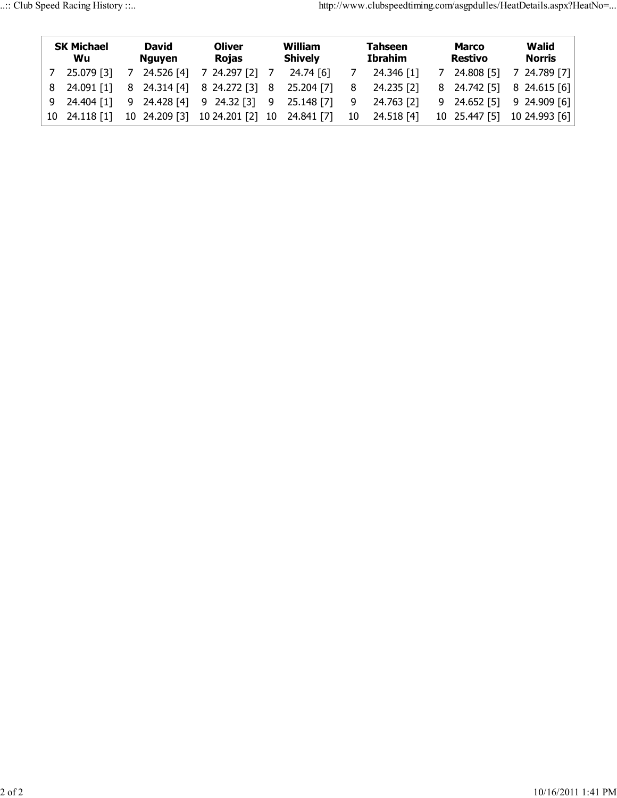| <b>SK Michael</b><br>Wu |                            | David<br>Nguyen |            | Oliver<br><b>Rojas</b>                              |  | William<br><b>Shively</b> |    | <b>Tahseen</b><br>Ibrahim |  | <b>Marco</b><br>Restivo | Walid<br><b>Norris</b>        |  |
|-------------------------|----------------------------|-----------------|------------|-----------------------------------------------------|--|---------------------------|----|---------------------------|--|-------------------------|-------------------------------|--|
|                         | 25.079 [3]                 | 7               | 24.526 [4] | 7 24.297 [2] 7                                      |  | 24.74 [6]                 |    | 24.346 [1]                |  | 7 24.808 [5]            | 7 24.789 [7]                  |  |
|                         |                            |                 |            | 8 24.091 [1] 8 24.314 [4] 8 24.272 [3] 8 25.204 [7] |  |                           | 8  | 24.235 [2]                |  |                         | 8 24.742 [5] 8 24.615 [6]     |  |
|                         |                            |                 |            | 9 24.404 [1] 9 24.428 [4] 9 24.32 [3] 9 25.148 [7]  |  |                           | 9  | 24.763 [2]                |  |                         | $9$ 24.652 [5] $9$ 24.909 [6] |  |
|                         | $10 \quad 24.118 \quad 11$ |                 |            | 10 24.209 [3] 10 24.201 [2] 10 24.841 [7]           |  |                           | 10 | 24.518 [4]                |  |                         | 10 25.447 [5] 10 24.993 [6]   |  |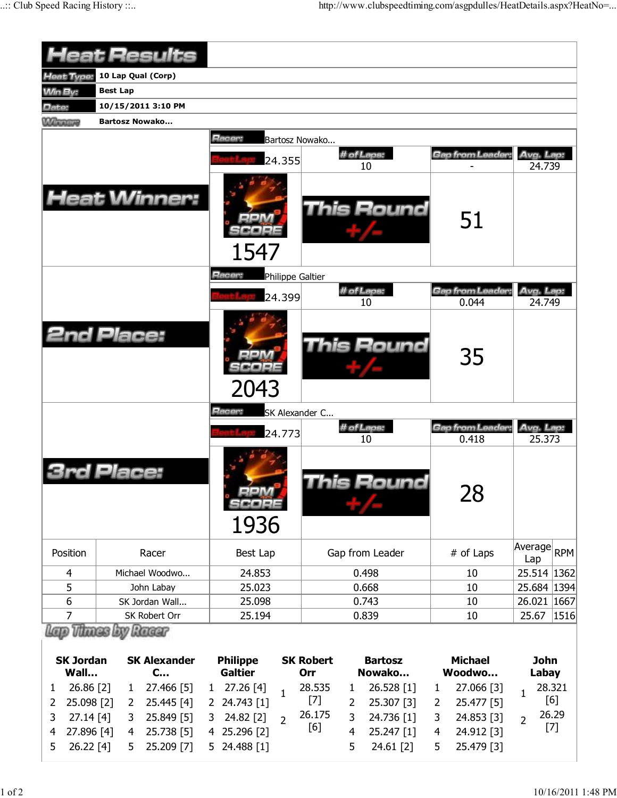|                                                                             | leat Results                                                                                                                                  |                                                                                                                                        |                                            |                                                                                  |                                                                                                                     |                                                                   |
|-----------------------------------------------------------------------------|-----------------------------------------------------------------------------------------------------------------------------------------------|----------------------------------------------------------------------------------------------------------------------------------------|--------------------------------------------|----------------------------------------------------------------------------------|---------------------------------------------------------------------------------------------------------------------|-------------------------------------------------------------------|
| Heat Type:                                                                  | 10 Lap Qual (Corp)                                                                                                                            |                                                                                                                                        |                                            |                                                                                  |                                                                                                                     |                                                                   |
| <b>Win By:</b>                                                              | <b>Best Lap</b>                                                                                                                               |                                                                                                                                        |                                            |                                                                                  |                                                                                                                     |                                                                   |
| Date:                                                                       | 10/15/2011 3:10 PM                                                                                                                            |                                                                                                                                        |                                            |                                                                                  |                                                                                                                     |                                                                   |
| <b>MAINTENNIS</b>                                                           | <b>Bartosz Nowako</b>                                                                                                                         |                                                                                                                                        |                                            |                                                                                  |                                                                                                                     |                                                                   |
|                                                                             | <b>Heat Winner:</b>                                                                                                                           | Racer:<br>24.355<br>1547<br>Racer:<br>Philippe Galtier<br>24.399                                                                       | Bartosz Nowako                             | # of Laps:<br>10<br>This Round<br># of Laps:                                     | Gan from Leader<br>51<br>Gap from Leader.                                                                           | Avg. Lap:<br>24.739<br>Avg. Lap:                                  |
|                                                                             |                                                                                                                                               |                                                                                                                                        |                                            | 10                                                                               | 0.044                                                                                                               | 24.749                                                            |
|                                                                             | <b>2nd Place:</b>                                                                                                                             | 2043                                                                                                                                   |                                            | This Round                                                                       | 35                                                                                                                  |                                                                   |
|                                                                             |                                                                                                                                               | Racer:                                                                                                                                 | SK Alexander C                             |                                                                                  |                                                                                                                     |                                                                   |
|                                                                             |                                                                                                                                               | 24.773                                                                                                                                 |                                            | # of Laps:<br>10                                                                 | Gap from Leader:<br>0.418                                                                                           | Avg. Lap:<br>25.373                                               |
|                                                                             | Place:                                                                                                                                        | 1936                                                                                                                                   |                                            | his Round                                                                        | 28                                                                                                                  |                                                                   |
| Position                                                                    | Racer                                                                                                                                         | Best Lap                                                                                                                               |                                            | Gap from Leader                                                                  | # of Laps                                                                                                           | Average<br><b>RPM</b><br>Lap                                      |
| 4                                                                           | Michael Woodwo                                                                                                                                | 24.853                                                                                                                                 |                                            | 0.498                                                                            | 10                                                                                                                  | 25.514 1362                                                       |
| 5                                                                           | John Labay                                                                                                                                    | 25.023                                                                                                                                 |                                            | 0.668                                                                            | 10                                                                                                                  | 25.684 1394                                                       |
| 6                                                                           | SK Jordan Wall                                                                                                                                | 25.098                                                                                                                                 |                                            | 0.743                                                                            | 10                                                                                                                  | 26.021 1667                                                       |
| $\overline{7}$                                                              | SK Robert Orr                                                                                                                                 | 25.194                                                                                                                                 |                                            | 0.839                                                                            | 10                                                                                                                  | 25.67<br>1516                                                     |
| <b>SK Jordan</b>                                                            | <b>Vinnes</b> Lov<br>Racer<br><b>SK Alexander</b>                                                                                             | <b>Philippe</b>                                                                                                                        | <b>SK Robert</b>                           | <b>Bartosz</b>                                                                   | <b>Michael</b>                                                                                                      | <b>John</b>                                                       |
| Wall                                                                        | $C$                                                                                                                                           | <b>Galtier</b>                                                                                                                         | Orr                                        | Nowako                                                                           | Woodwo                                                                                                              | Labay                                                             |
| 26.86 [2]<br>1<br>25.098 [2]<br>2<br>3<br>27.14 [4]<br>27.896 [4]<br>4<br>5 | 27.466 [5]<br>$\mathbf{1}$<br>25.445 [4]<br>$\overline{2}$<br>25.849 [5]<br>3<br>25.738 [5]<br>$\overline{4}$<br>26.22 [4]<br>25.209 [7]<br>5 | 27.26 [4]<br>$\mathbf{1}$<br>$\mathbf{1}$<br>24.743 [1]<br>2<br>24.82 [2]<br>3<br>$\overline{2}$<br>25.296 [2]<br>4<br>24.488 [1]<br>5 | 28.535<br>$[7]$<br>2<br>26.175<br>3<br>[6] | 26.528 [1]<br>1<br>25.307 [3]<br>24.736 [1]<br>4<br>25.247 [1]<br>5<br>24.61 [2] | 27.066 [3]<br>$\mathbf{1}$<br>25.477 [5]<br>2<br>24.853 [3]<br>3<br>$\overline{4}$<br>24.912 [3]<br>25.479 [3]<br>5 | 28.321<br>$\mathbf{1}$<br>[6]<br>26.29<br>$\overline{2}$<br>$[7]$ |